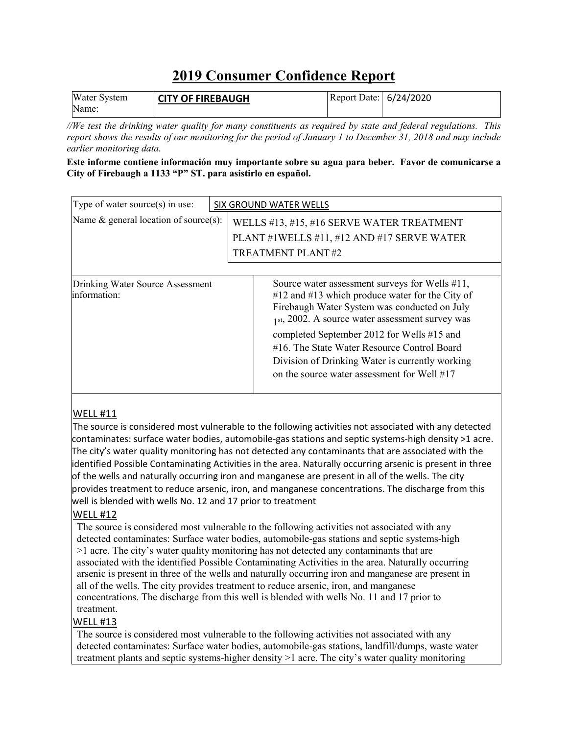## **2019 Consumer Confidence Report**

| <b>Water System</b> | <b>CITY OF FIREBAUGH</b> | Report Date: 6/24/2020 |  |
|---------------------|--------------------------|------------------------|--|
| Name:               |                          |                        |  |

*//We test the drinking water quality for many constituents as required by state and federal regulations. This report shows the results of our monitoring for the period of January 1 to December 31, 2018 and may include earlier monitoring data.*

#### **Este informe contiene información muy importante sobre su agua para beber. Favor de comunicarse a City of Firebaugh a 1133 "P" ST. para asistirlo en español.**

| Type of water source(s) in use:                  | SIX GROUND WATER WELLS                                                                                                                                                                                                                                                                                                                                                                                     |  |  |  |  |
|--------------------------------------------------|------------------------------------------------------------------------------------------------------------------------------------------------------------------------------------------------------------------------------------------------------------------------------------------------------------------------------------------------------------------------------------------------------------|--|--|--|--|
| Name $\&$ general location of source(s):         | WELLS #13, #15, #16 SERVE WATER TREATMENT<br>PLANT #1WELLS #11, #12 AND #17 SERVE WATER<br>TREATMENT PLANT#2                                                                                                                                                                                                                                                                                               |  |  |  |  |
|                                                  |                                                                                                                                                                                                                                                                                                                                                                                                            |  |  |  |  |
| Drinking Water Source Assessment<br>information: | Source water assessment surveys for Wells #11,<br>$#12$ and $#13$ which produce water for the City of<br>Firebaugh Water System was conducted on July<br>$1st$ , 2002. A source water assessment survey was<br>completed September 2012 for Wells #15 and<br>#16. The State Water Resource Control Board<br>Division of Drinking Water is currently working<br>on the source water assessment for Well #17 |  |  |  |  |

#### WELL #11

The source is considered most vulnerable to the following activities not associated with any detected contaminates: surface water bodies, automobile-gas stations and septic systems-high density >1 acre. The city's water quality monitoring has not detected any contaminants that are associated with the identified Possible Contaminating Activities in the area. Naturally occurring arsenic is present in three of the wells and naturally occurring iron and manganese are present in all of the wells. The city provides treatment to reduce arsenic, iron, and manganese concentrations. The discharge from this well is blended with wells No. 12 and 17 prior to treatment

#### WELL #12

The source is considered most vulnerable to the following activities not associated with any detected contaminates: Surface water bodies, automobile-gas stations and septic systems-high >1 acre. The city's water quality monitoring has not detected any contaminants that are associated with the identified Possible Contaminating Activities in the area. Naturally occurring arsenic is present in three of the wells and naturally occurring iron and manganese are present in all of the wells. The city provides treatment to reduce arsenic, iron, and manganese concentrations. The discharge from this well is blended with wells No. 11 and 17 prior to treatment.

#### WELL #13

The source is considered most vulnerable to the following activities not associated with any detected contaminates: Surface water bodies, automobile-gas stations, landfill/dumps, waste water treatment plants and septic systems-higher density >1 acre. The city's water quality monitoring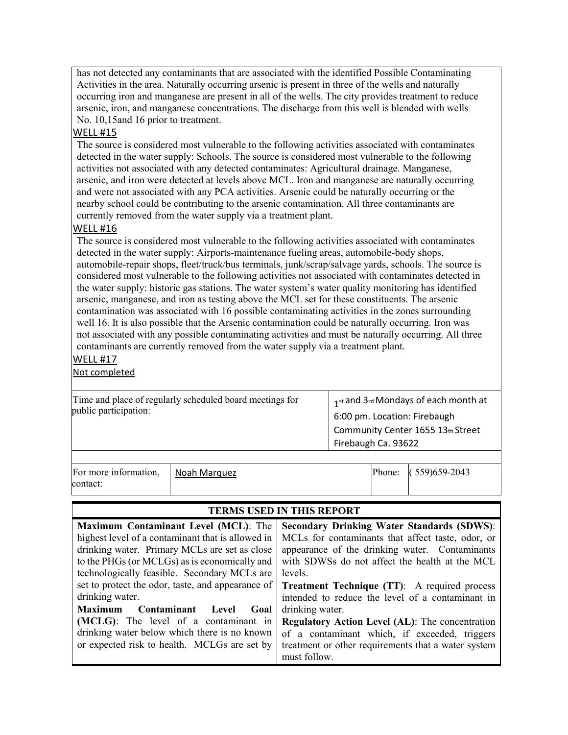has not detected any contaminants that are associated with the identified Possible Contaminating Activities in the area. Naturally occurring arsenic is present in three of the wells and naturally occurring iron and manganese are present in all of the wells. The city provides treatment to reduce arsenic, iron, and manganese concentrations. The discharge from this well is blended with wells No. 10,15and 16 prior to treatment.

#### WELL #15

The source is considered most vulnerable to the following activities associated with contaminates detected in the water supply: Schools. The source is considered most vulnerable to the following activities not associated with any detected contaminates: Agricultural drainage. Manganese, arsenic, and iron were detected at levels above MCL. Iron and manganese are naturally occurring and were not associated with any PCA activities. Arsenic could be naturally occurring or the nearby school could be contributing to the arsenic contamination. All three contaminants are currently removed from the water supply via a treatment plant.

#### WELL #16

The source is considered most vulnerable to the following activities associated with contaminates detected in the water supply: Airports-maintenance fueling areas, automobile-body shops, automobile-repair shops, fleet/truck/bus terminals, junk/scrap/salvage yards, schools. The source is considered most vulnerable to the following activities not associated with contaminates detected in the water supply: historic gas stations. The water system's water quality monitoring has identified arsenic, manganese, and iron as testing above the MCL set for these constituents. The arsenic contamination was associated with 16 possible contaminating activities in the zones surrounding well 16. It is also possible that the Arsenic contamination could be naturally occurring. Iron was not associated with any possible contaminating activities and must be naturally occurring. All three contaminants are currently removed from the water supply via a treatment plant.

#### WELL #17

Not completed

| Time and place of regularly scheduled board meetings for<br>public participation: |              |  | 1st and 3rd Mondays of each month at<br>6:00 pm. Location: Firebaugh<br>Community Center 1655 13th Street<br>Firebaugh Ca. 93622 |                  |  |  |
|-----------------------------------------------------------------------------------|--------------|--|----------------------------------------------------------------------------------------------------------------------------------|------------------|--|--|
| For more information,                                                             | Noah Marquez |  | Phone:                                                                                                                           | $(559)$ 659-2043 |  |  |
| contact:                                                                          |              |  |                                                                                                                                  |                  |  |  |

| <b>TERMS USED IN THIS REPORT</b>                                                                                                                                                                                                                                                                                                                                                                              |  |  |  |  |  |  |
|---------------------------------------------------------------------------------------------------------------------------------------------------------------------------------------------------------------------------------------------------------------------------------------------------------------------------------------------------------------------------------------------------------------|--|--|--|--|--|--|
| <b>Secondary Drinking Water Standards (SDWS):</b><br>MCLs for contaminants that affect taste, odor, or<br>appearance of the drinking water. Contaminants<br>with SDWSs do not affect the health at the MCL<br>levels.<br><b>Treatment Technique (TT):</b> A required process<br>intended to reduce the level of a contaminant in<br>drinking water.<br><b>Regulatory Action Level (AL):</b> The concentration |  |  |  |  |  |  |
| of a contaminant which, if exceeded, triggers<br>treatment or other requirements that a water system<br>must follow.                                                                                                                                                                                                                                                                                          |  |  |  |  |  |  |
|                                                                                                                                                                                                                                                                                                                                                                                                               |  |  |  |  |  |  |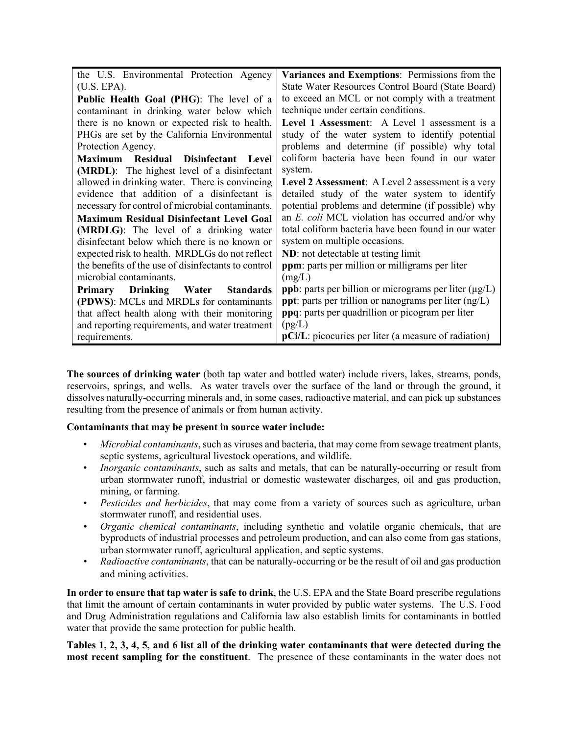| the U.S. Environmental Protection Agency            | Variances and Exemptions: Permissions from the                     |  |  |  |  |
|-----------------------------------------------------|--------------------------------------------------------------------|--|--|--|--|
| (U.S. EPA).                                         | State Water Resources Control Board (State Board)                  |  |  |  |  |
| Public Health Goal (PHG): The level of a            | to exceed an MCL or not comply with a treatment                    |  |  |  |  |
| contaminant in drinking water below which           | technique under certain conditions.                                |  |  |  |  |
| there is no known or expected risk to health.       | Level 1 Assessment: A Level 1 assessment is a                      |  |  |  |  |
| PHGs are set by the California Environmental        | study of the water system to identify potential                    |  |  |  |  |
| Protection Agency.                                  | problems and determine (if possible) why total                     |  |  |  |  |
| Maximum<br>Residual Disinfectant Level              | coliform bacteria have been found in our water                     |  |  |  |  |
| (MRDL): The highest level of a disinfectant         | system.                                                            |  |  |  |  |
| allowed in drinking water. There is convincing      | Level 2 Assessment: A Level 2 assessment is a very                 |  |  |  |  |
| evidence that addition of a disinfectant is         | detailed study of the water system to identify                     |  |  |  |  |
| necessary for control of microbial contaminants.    | potential problems and determine (if possible) why                 |  |  |  |  |
| <b>Maximum Residual Disinfectant Level Goal</b>     | an E. coli MCL violation has occurred and/or why                   |  |  |  |  |
| (MRDLG): The level of a drinking water              | total coliform bacteria have been found in our water               |  |  |  |  |
| disinfectant below which there is no known or       | system on multiple occasions.                                      |  |  |  |  |
| expected risk to health. MRDLGs do not reflect      | ND: not detectable at testing limit                                |  |  |  |  |
| the benefits of the use of disinfectants to control | <b>ppm</b> : parts per million or milligrams per liter             |  |  |  |  |
| microbial contaminants.                             | (mg/L)                                                             |  |  |  |  |
| Primary Drinking Water<br><b>Standards</b>          | <b>ppb</b> : parts per billion or micrograms per liter $(\mu g/L)$ |  |  |  |  |
| (PDWS): MCLs and MRDLs for contaminants             | <b>ppt</b> : parts per trillion or nanograms per liter $(ng/L)$    |  |  |  |  |
| that affect health along with their monitoring      | ppq: parts per quadrillion or picogram per liter                   |  |  |  |  |
| and reporting requirements, and water treatment     | (pg/L)                                                             |  |  |  |  |
| requirements.                                       | pCi/L: picocuries per liter (a measure of radiation)               |  |  |  |  |

**The sources of drinking water** (both tap water and bottled water) include rivers, lakes, streams, ponds, reservoirs, springs, and wells. As water travels over the surface of the land or through the ground, it dissolves naturally-occurring minerals and, in some cases, radioactive material, and can pick up substances resulting from the presence of animals or from human activity.

#### **Contaminants that may be present in source water include:**

- *Microbial contaminants*, such as viruses and bacteria, that may come from sewage treatment plants, septic systems, agricultural livestock operations, and wildlife.
- *Inorganic contaminants*, such as salts and metals, that can be naturally-occurring or result from urban stormwater runoff, industrial or domestic wastewater discharges, oil and gas production, mining, or farming.
- *Pesticides and herbicides*, that may come from a variety of sources such as agriculture, urban stormwater runoff, and residential uses.
- *Organic chemical contaminants*, including synthetic and volatile organic chemicals, that are byproducts of industrial processes and petroleum production, and can also come from gas stations, urban stormwater runoff, agricultural application, and septic systems.
- *Radioactive contaminants*, that can be naturally-occurring or be the result of oil and gas production and mining activities.

**In order to ensure that tap water is safe to drink**, the U.S. EPA and the State Board prescribe regulations that limit the amount of certain contaminants in water provided by public water systems. The U.S. Food and Drug Administration regulations and California law also establish limits for contaminants in bottled water that provide the same protection for public health.

**Tables 1, 2, 3, 4, 5, and 6 list all of the drinking water contaminants that were detected during the most recent sampling for the constituent**. The presence of these contaminants in the water does not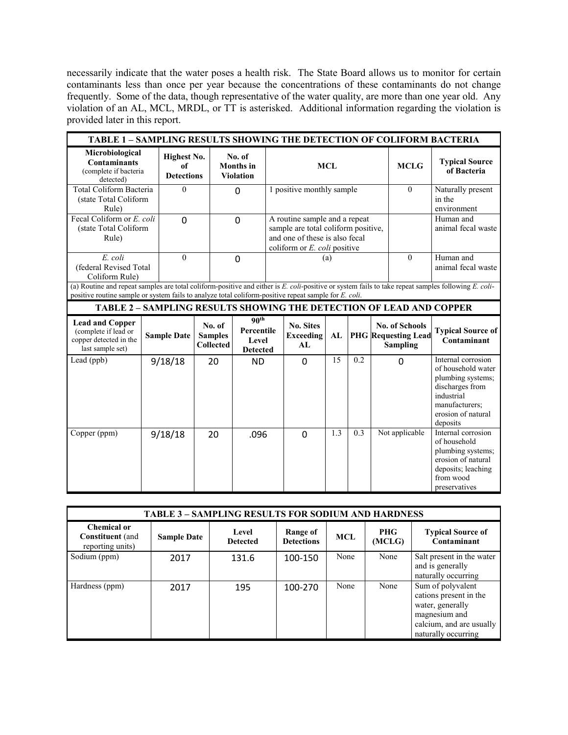necessarily indicate that the water poses a health risk. The State Board allows us to monitor for certain contaminants less than once per year because the concentrations of these contaminants do not change frequently. Some of the data, though representative of the water quality, are more than one year old. Any violation of an AL, MCL, MRDL, or TT is asterisked. Additional information regarding the violation is provided later in this report.

| TABLE 1 - SAMPLING RESULTS SHOWING THE DETECTION OF COLIFORM BACTERIA                        |                                                                                                                                                                                                                                                              |                                               |                                              |                                                            |                           |                                                                                                        |              |                                            |                                 |                                                                        |                                                                                                                                                    |
|----------------------------------------------------------------------------------------------|--------------------------------------------------------------------------------------------------------------------------------------------------------------------------------------------------------------------------------------------------------------|-----------------------------------------------|----------------------------------------------|------------------------------------------------------------|---------------------------|--------------------------------------------------------------------------------------------------------|--------------|--------------------------------------------|---------------------------------|------------------------------------------------------------------------|----------------------------------------------------------------------------------------------------------------------------------------------------|
| Microbiological<br><b>Contaminants</b><br>(complete if bacteria<br>detected)                 |                                                                                                                                                                                                                                                              | <b>Highest No.</b><br>of<br><b>Detections</b> |                                              | No. of<br><b>Months</b> in<br><b>Violation</b>             | <b>MCL</b>                |                                                                                                        | <b>MCLG</b>  | <b>Typical Source</b><br>of Bacteria       |                                 |                                                                        |                                                                                                                                                    |
| Total Coliform Bacteria<br>(state Total Coliform<br>Rule)                                    |                                                                                                                                                                                                                                                              | $\theta$                                      |                                              | $\Omega$                                                   | 1 positive monthly sample |                                                                                                        | $\mathbf{0}$ | Naturally present<br>in the<br>environment |                                 |                                                                        |                                                                                                                                                    |
| Fecal Coliform or E. coli<br>(state Total Coliform<br>Rule)                                  |                                                                                                                                                                                                                                                              | $\Omega$                                      |                                              | $\mathbf 0$                                                |                           | A routine sample and a repeat<br>sample are total coliform positive,<br>and one of these is also fecal |              |                                            | Human and<br>animal fecal waste |                                                                        |                                                                                                                                                    |
| $E.$ coli<br>(federal Revised Total<br>Coliform Rule)                                        |                                                                                                                                                                                                                                                              | $\theta$                                      |                                              | $\mathbf 0$                                                |                           | coliform or $E$ . <i>coli</i> positive<br>(a)                                                          |              | $\theta$                                   | Human and<br>animal fecal waste |                                                                        |                                                                                                                                                    |
|                                                                                              | (a) Routine and repeat samples are total coliform-positive and either is E. coli-positive or system fails to take repeat samples following E. coli-<br>positive routine sample or system fails to analyze total coliform-positive repeat sample for E. coli. |                                               |                                              |                                                            |                           |                                                                                                        |              |                                            |                                 |                                                                        |                                                                                                                                                    |
| <b>TABLE 2 - SAMPLING RESULTS SHOWING THE DETECTION OF LEAD AND COPPER</b>                   |                                                                                                                                                                                                                                                              |                                               |                                              |                                                            |                           |                                                                                                        |              |                                            |                                 |                                                                        |                                                                                                                                                    |
| <b>Lead and Copper</b><br>(complete if lead or<br>copper detected in the<br>last sample set) |                                                                                                                                                                                                                                                              | <b>Sample Date</b>                            | No. of<br><b>Samples</b><br><b>Collected</b> | 90 <sup>th</sup><br>Percentile<br>Level<br><b>Detected</b> |                           | <b>No. Sites</b><br><b>Exceeding</b><br>AI.                                                            | AL           |                                            |                                 | <b>No. of Schools</b><br><b>PHG</b> Requesting Lead<br><b>Sampling</b> | <b>Typical Source of</b><br>Contaminant                                                                                                            |
| Lead (ppb)                                                                                   |                                                                                                                                                                                                                                                              | 9/18/18                                       | 20                                           | <b>ND</b>                                                  |                           | $\mathbf 0$                                                                                            | 15           | 0.2                                        |                                 | $\Omega$                                                               | Internal corrosion<br>of household water<br>plumbing systems;<br>discharges from<br>industrial<br>manufacturers;<br>erosion of natural<br>deposits |
| Copper (ppm)                                                                                 |                                                                                                                                                                                                                                                              | 9/18/18                                       | 20                                           | .096                                                       |                           | $\Omega$                                                                                               | 1.3          | 0.3                                        |                                 | Not applicable                                                         | Internal corrosion<br>of household<br>plumbing systems;<br>erosion of natural<br>deposits; leaching<br>from wood<br>preservatives                  |

| <b>TABLE 3 - SAMPLING RESULTS FOR SODIUM AND HARDNESS</b>  |                    |                          |                               |            |               |                                                                                                                                     |  |  |
|------------------------------------------------------------|--------------------|--------------------------|-------------------------------|------------|---------------|-------------------------------------------------------------------------------------------------------------------------------------|--|--|
| Chemical or<br><b>Constituent</b> (and<br>reporting units) | <b>Sample Date</b> | Level<br><b>Detected</b> | Range of<br><b>Detections</b> | <b>MCL</b> | PHG<br>(MCLG) | <b>Typical Source of</b><br>Contaminant                                                                                             |  |  |
| Sodium (ppm)                                               | 2017               | 131.6                    | 100-150                       | None       | None          | Salt present in the water<br>and is generally<br>naturally occurring                                                                |  |  |
| Hardness (ppm)                                             | 2017               | 195                      | 100-270                       | None       | None          | Sum of polyvalent<br>cations present in the<br>water, generally<br>magnesium and<br>calcium, and are usually<br>naturally occurring |  |  |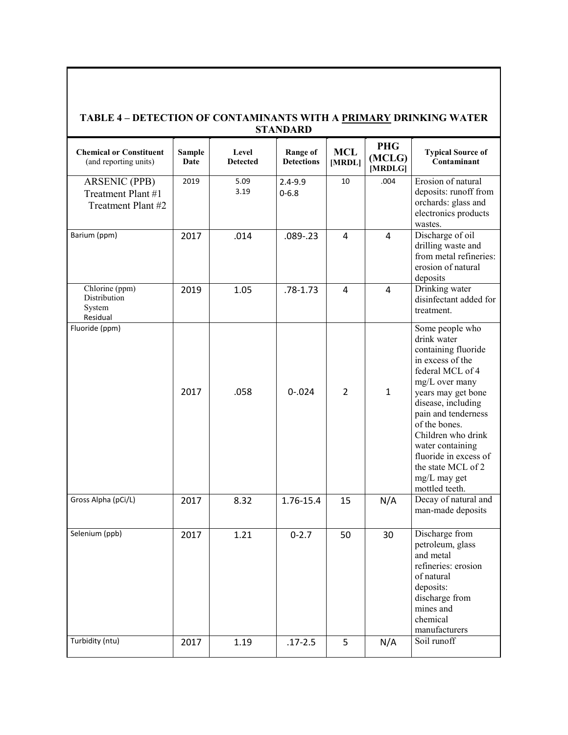|                                                                  |                       |                          | <b>STANDARD</b>                      |                      |                                 |                                                                                                                                                                                                                                                                                                                                |
|------------------------------------------------------------------|-----------------------|--------------------------|--------------------------------------|----------------------|---------------------------------|--------------------------------------------------------------------------------------------------------------------------------------------------------------------------------------------------------------------------------------------------------------------------------------------------------------------------------|
| <b>Chemical or Constituent</b><br>(and reporting units)          | <b>Sample</b><br>Date | Level<br><b>Detected</b> | <b>Range of</b><br><b>Detections</b> | <b>MCL</b><br>[MRDL] | <b>PHG</b><br>(MCLG)<br>[MRDLG] | <b>Typical Source of</b><br>Contaminant                                                                                                                                                                                                                                                                                        |
| <b>ARSENIC (PPB)</b><br>Treatment Plant #1<br>Treatment Plant #2 | 2019                  | 5.09<br>3.19             | $2.4 - 9.9$<br>$0 - 6.8$             | 10                   | .004                            | Erosion of natural<br>deposits: runoff from<br>orchards: glass and<br>electronics products<br>wastes.                                                                                                                                                                                                                          |
| Barium (ppm)                                                     | 2017                  | .014                     | $.089 - .23$                         | 4                    | 4                               | Discharge of oil<br>drilling waste and<br>from metal refineries:<br>erosion of natural<br>deposits                                                                                                                                                                                                                             |
| Chlorine (ppm)<br>Distribution<br>System<br>Residual             | 2019                  | 1.05                     | $.78 - 1.73$                         | $\overline{4}$       | 4                               | Drinking water<br>disinfectant added for<br>treatment.                                                                                                                                                                                                                                                                         |
| Fluoride (ppm)                                                   | 2017                  | .058                     | $0 - 024$                            | $\overline{2}$       | $\mathbf{1}$                    | Some people who<br>drink water<br>containing fluoride<br>in excess of the<br>federal MCL of 4<br>mg/L over many<br>years may get bone<br>disease, including<br>pain and tenderness<br>of the bones.<br>Children who drink<br>water containing<br>fluoride in excess of<br>the state MCL of 2<br>mg/L may get<br>mottled teeth. |
| Gross Alpha (pCi/L)                                              | 2017                  | 8.32                     | 1.76-15.4                            | 15                   | N/A                             | Decay of natural and<br>man-made deposits                                                                                                                                                                                                                                                                                      |
| Selenium (ppb)                                                   | 2017                  | 1.21                     | $0 - 2.7$                            | 50                   | 30                              | Discharge from<br>petroleum, glass<br>and metal<br>refineries: erosion<br>of natural<br>deposits:<br>discharge from<br>mines and<br>chemical<br>manufacturers                                                                                                                                                                  |
| Turbidity (ntu)                                                  | 2017                  | 1.19                     | $.17 - 2.5$                          | 5                    | N/A                             | Soil runoff                                                                                                                                                                                                                                                                                                                    |

# **TABLE 4 – DETECTION OF CONTAMINANTS WITH A PRIMARY DRINKING WATER**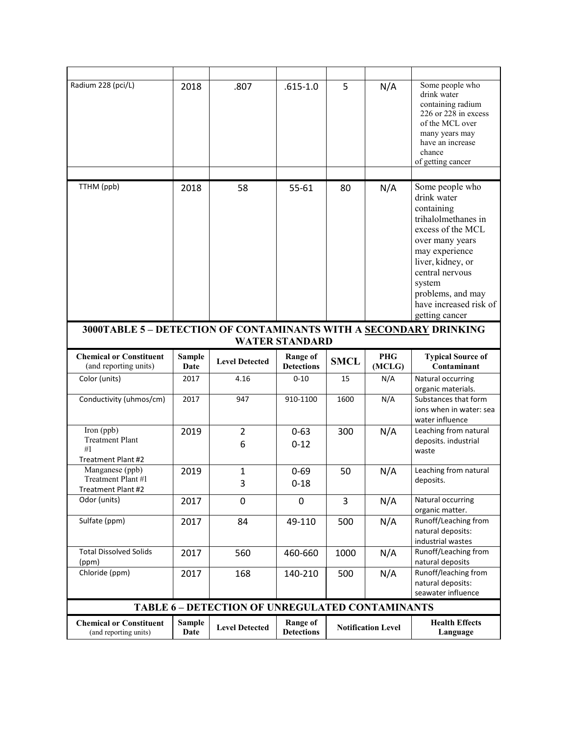| Radium 228 (pci/L)                                                | 2018                  | .807                                                   | $.615 - 1.0$                         | 5           | N/A                  | Some people who<br>drink water<br>containing radium<br>226 or 228 in excess<br>of the MCL over<br>many years may<br>have an increase<br>chance<br>of getting cancer                                                                              |
|-------------------------------------------------------------------|-----------------------|--------------------------------------------------------|--------------------------------------|-------------|----------------------|--------------------------------------------------------------------------------------------------------------------------------------------------------------------------------------------------------------------------------------------------|
|                                                                   |                       |                                                        |                                      |             |                      |                                                                                                                                                                                                                                                  |
| TTHM (ppb)                                                        | 2018                  | 58                                                     | 55-61                                | 80          | N/A                  | Some people who<br>drink water<br>containing<br>trihalolmethanes in<br>excess of the MCL<br>over many years<br>may experience<br>liver, kidney, or<br>central nervous<br>system<br>problems, and may<br>have increased risk of<br>getting cancer |
| 3000TABLE 5 - DETECTION OF CONTAMINANTS WITH A SECONDARY DRINKING |                       |                                                        | <b>WATER STANDARD</b>                |             |                      |                                                                                                                                                                                                                                                  |
| <b>Chemical or Constituent</b><br>(and reporting units)           | <b>Sample</b><br>Date | <b>Level Detected</b>                                  | <b>Range of</b><br><b>Detections</b> | <b>SMCL</b> | <b>PHG</b><br>(MCLG) | <b>Typical Source of</b><br>Contaminant                                                                                                                                                                                                          |
| Color (units)                                                     | 2017                  | 4.16                                                   | $0 - 10$                             | 15          | N/A                  | Natural occurring<br>organic materials.                                                                                                                                                                                                          |
| Conductivity (uhmos/cm)                                           | 2017                  | 947                                                    | 910-1100                             | 1600        | N/A                  | Substances that form                                                                                                                                                                                                                             |
|                                                                   |                       |                                                        |                                      |             |                      | ions when in water: sea<br>water influence                                                                                                                                                                                                       |
| Iron (ppb)<br><b>Treatment Plant</b>                              | 2019                  | $\overline{2}$                                         | $0 - 63$                             | 300         | N/A                  | Leaching from natural<br>deposits. industrial                                                                                                                                                                                                    |
| #1                                                                |                       | 6                                                      | $0 - 12$                             |             |                      | waste                                                                                                                                                                                                                                            |
| Treatment Plant #2<br>Manganese (ppb)                             |                       |                                                        |                                      |             |                      |                                                                                                                                                                                                                                                  |
| Treatment Plant #1<br>Treatment Plant #2                          | 2019                  | $\mathbf{1}$<br>3                                      | $0 - 69$<br>$0 - 18$                 | 50          | N/A                  | Leaching from natural<br>deposits.                                                                                                                                                                                                               |
| Odor (units)                                                      | 2017                  | 0                                                      | $\Omega$                             | 3           | N/A                  | Natural occurring<br>organic matter.                                                                                                                                                                                                             |
| Sulfate (ppm)                                                     | 2017                  | 84                                                     | 49-110                               | 500         | N/A                  | Runoff/Leaching from<br>natural deposits:<br>industrial wastes                                                                                                                                                                                   |
| <b>Total Dissolved Solids</b><br>(ppm)                            | 2017                  | 560                                                    | 460-660                              | 1000        | N/A                  | Runoff/Leaching from<br>natural deposits                                                                                                                                                                                                         |
| Chloride (ppm)                                                    | 2017                  | 168                                                    | 140-210                              | 500         | N/A                  | Runoff/leaching from<br>natural deposits:<br>seawater influence                                                                                                                                                                                  |
|                                                                   |                       | <b>TABLE 6 - DETECTION OF UNREGULATED CONTAMINANTS</b> |                                      |             |                      |                                                                                                                                                                                                                                                  |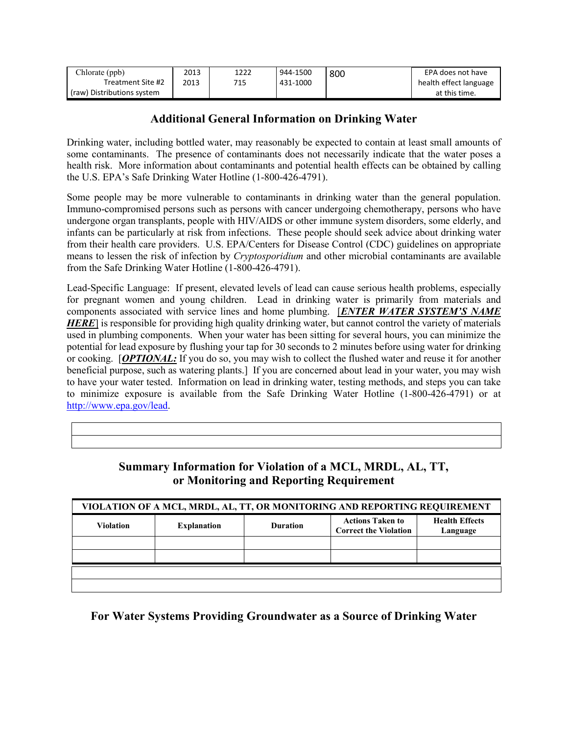| Chlorate (ppb)             | 2013 | 1222 | 944-1500 | 800 | EPA does not have      |
|----------------------------|------|------|----------|-----|------------------------|
| Treatment Site #2          | 2013 | 715  | 431-1000 |     | health effect language |
| (raw) Distributions system |      |      |          |     | at this time.          |

#### **Additional General Information on Drinking Water**

Drinking water, including bottled water, may reasonably be expected to contain at least small amounts of some contaminants. The presence of contaminants does not necessarily indicate that the water poses a health risk. More information about contaminants and potential health effects can be obtained by calling the U.S. EPA's Safe Drinking Water Hotline (1-800-426-4791).

Some people may be more vulnerable to contaminants in drinking water than the general population. Immuno-compromised persons such as persons with cancer undergoing chemotherapy, persons who have undergone organ transplants, people with HIV/AIDS or other immune system disorders, some elderly, and infants can be particularly at risk from infections. These people should seek advice about drinking water from their health care providers. U.S. EPA/Centers for Disease Control (CDC) guidelines on appropriate means to lessen the risk of infection by *Cryptosporidium* and other microbial contaminants are available from the Safe Drinking Water Hotline (1-800-426-4791).

Lead-Specific Language: If present, elevated levels of lead can cause serious health problems, especially for pregnant women and young children. Lead in drinking water is primarily from materials and components associated with service lines and home plumbing. [*ENTER WATER SYSTEM'S NAME HERE*] is responsible for providing high quality drinking water, but cannot control the variety of materials used in plumbing components. When your water has been sitting for several hours, you can minimize the potential for lead exposure by flushing your tap for 30 seconds to 2 minutes before using water for drinking or cooking. [*OPTIONAL:* If you do so, you may wish to collect the flushed water and reuse it for another beneficial purpose, such as watering plants.] If you are concerned about lead in your water, you may wish to have your water tested. Information on lead in drinking water, testing methods, and steps you can take to minimize exposure is available from the Safe Drinking Water Hotline (1-800-426-4791) or at [http://www.epa.gov/lead.](http://www.epa.gov/lead)

| VIOLATION OF A MCL, MRDL, AL, TT, OR MONITORING AND REPORTING REQUIREMENT |                    |                 |                                                         |                                   |  |  |  |
|---------------------------------------------------------------------------|--------------------|-----------------|---------------------------------------------------------|-----------------------------------|--|--|--|
| <b>Violation</b>                                                          | <b>Explanation</b> | <b>Duration</b> | <b>Actions Taken to</b><br><b>Correct the Violation</b> | <b>Health Effects</b><br>Language |  |  |  |
|                                                                           |                    |                 |                                                         |                                   |  |  |  |
|                                                                           |                    |                 |                                                         |                                   |  |  |  |
|                                                                           |                    |                 |                                                         |                                   |  |  |  |
|                                                                           |                    |                 |                                                         |                                   |  |  |  |

#### **Summary Information for Violation of a MCL, MRDL, AL, TT, or Monitoring and Reporting Requirement**

#### **For Water Systems Providing Groundwater as a Source of Drinking Water**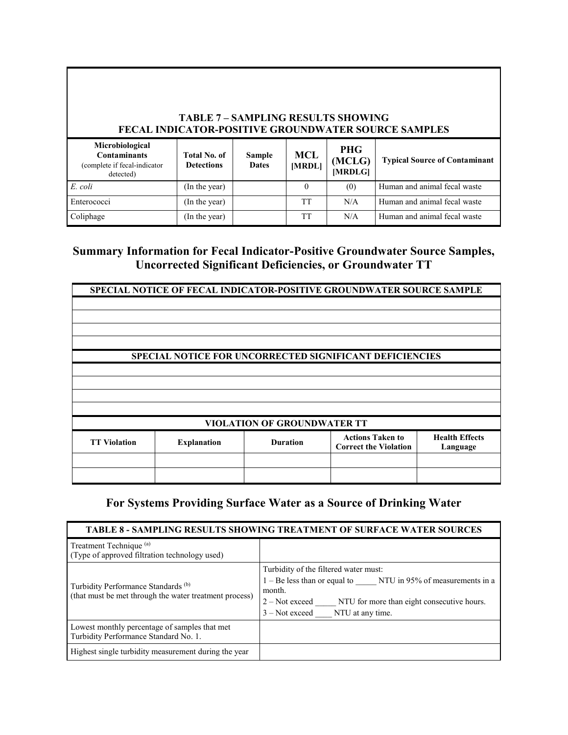#### **TABLE 7 – SAMPLING RESULTS SHOWING FECAL INDICATOR-POSITIVE GROUNDWATER SOURCE SAMPLES**

| Microbiological<br><b>Contaminants</b><br>(complete if fecal-indicator<br>detected) | <b>Total No. of</b><br><b>Detections</b> | Sample<br><b>Dates</b> | <b>MCL</b><br>[MRDL] | <b>PHG</b><br>(MCLG)<br>[MRDLG] | <b>Typical Source of Contaminant</b> |
|-------------------------------------------------------------------------------------|------------------------------------------|------------------------|----------------------|---------------------------------|--------------------------------------|
| E. coli                                                                             | (In the year)                            |                        |                      | (0)                             | Human and animal fecal waste         |
| Enterococci                                                                         | (In the year)                            |                        | TT                   | N/A                             | Human and animal fecal waste         |
| Coliphage                                                                           | (In the year)                            |                        | TТ                   | N/A                             | Human and animal fecal waste         |

## **Summary Information for Fecal Indicator-Positive Groundwater Source Samples, Uncorrected Significant Deficiencies, or Groundwater TT**

|                                    | SPECIAL NOTICE OF FECAL INDICATOR-POSITIVE GROUNDWATER SOURCE SAMPLE |                 |                              |                       |  |  |
|------------------------------------|----------------------------------------------------------------------|-----------------|------------------------------|-----------------------|--|--|
|                                    |                                                                      |                 |                              |                       |  |  |
|                                    |                                                                      |                 |                              |                       |  |  |
|                                    |                                                                      |                 |                              |                       |  |  |
|                                    |                                                                      |                 |                              |                       |  |  |
|                                    |                                                                      |                 |                              |                       |  |  |
|                                    |                                                                      |                 |                              |                       |  |  |
|                                    |                                                                      |                 |                              |                       |  |  |
|                                    | <b>SPECIAL NOTICE FOR UNCORRECTED SIGNIFICANT DEFICIENCIES</b>       |                 |                              |                       |  |  |
|                                    |                                                                      |                 |                              |                       |  |  |
|                                    |                                                                      |                 |                              |                       |  |  |
|                                    |                                                                      |                 |                              |                       |  |  |
|                                    |                                                                      |                 |                              |                       |  |  |
|                                    |                                                                      |                 |                              |                       |  |  |
|                                    |                                                                      |                 |                              |                       |  |  |
|                                    |                                                                      |                 |                              |                       |  |  |
|                                    |                                                                      |                 |                              |                       |  |  |
| <b>VIOLATION OF GROUNDWATER TT</b> |                                                                      |                 |                              |                       |  |  |
|                                    |                                                                      |                 | <b>Actions Taken to</b>      | <b>Health Effects</b> |  |  |
| <b>TT Violation</b>                | <b>Explanation</b>                                                   | <b>Duration</b> |                              |                       |  |  |
|                                    |                                                                      |                 | <b>Correct the Violation</b> | Language              |  |  |
|                                    |                                                                      |                 |                              |                       |  |  |
|                                    |                                                                      |                 |                              |                       |  |  |
|                                    |                                                                      |                 |                              |                       |  |  |
|                                    |                                                                      |                 |                              |                       |  |  |

#### **For Systems Providing Surface Water as a Source of Drinking Water**

#### **TABLE 8 - SAMPLING RESULTS SHOWING TREATMENT OF SURFACE WATER SOURCES** Treatment Technique (a) (Type of approved filtration technology used) Turbidity Performance Standards (b) (that must be met through the water treatment process) Turbidity of the filtered water must: 1 – Be less than or equal to \_\_\_\_\_ NTU in 95% of measurements in a month. 2 – Not exceed \_\_\_\_\_ NTU for more than eight consecutive hours. 3 – Not exceed NTU at any time. Lowest monthly percentage of samples that met Turbidity Performance Standard No. 1. Highest single turbidity measurement during the year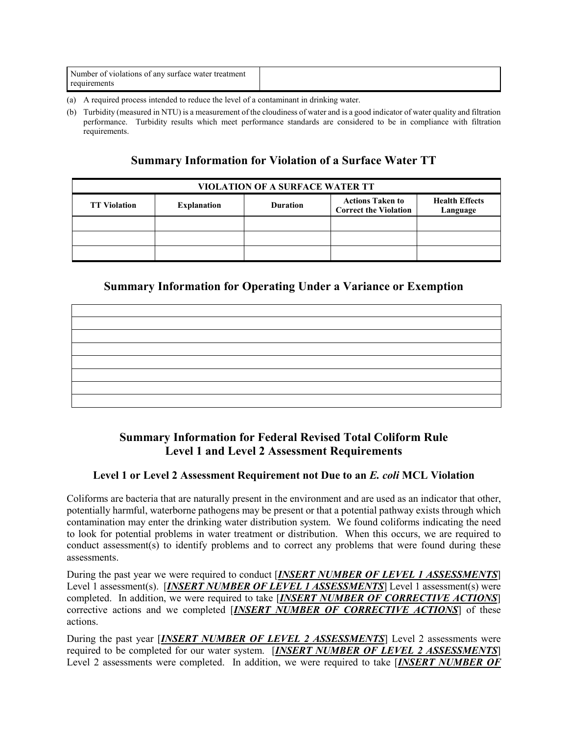| Number of violations of any surface water treatment |  |
|-----------------------------------------------------|--|
| requirements                                        |  |

- (a) A required process intended to reduce the level of a contaminant in drinking water.
- (b) Turbidity (measured in NTU) is a measurement of the cloudiness of water and is a good indicator of water quality and filtration performance. Turbidity results which meet performance standards are considered to be in compliance with filtration requirements.

#### **Summary Information for Violation of a Surface Water TT**

| <b>VIOLATION OF A SURFACE WATER TT</b> |                    |                 |                                                         |                                   |  |  |  |
|----------------------------------------|--------------------|-----------------|---------------------------------------------------------|-----------------------------------|--|--|--|
| <b>TT Violation</b>                    | <b>Explanation</b> | <b>Duration</b> | <b>Actions Taken to</b><br><b>Correct the Violation</b> | <b>Health Effects</b><br>Language |  |  |  |
|                                        |                    |                 |                                                         |                                   |  |  |  |
|                                        |                    |                 |                                                         |                                   |  |  |  |
|                                        |                    |                 |                                                         |                                   |  |  |  |

## **Summary Information for Operating Under a Variance or Exemption**

## **Summary Information for Federal Revised Total Coliform Rule Level 1 and Level 2 Assessment Requirements**

#### **Level 1 or Level 2 Assessment Requirement not Due to an** *E. coli* **MCL Violation**

Coliforms are bacteria that are naturally present in the environment and are used as an indicator that other, potentially harmful, waterborne pathogens may be present or that a potential pathway exists through which contamination may enter the drinking water distribution system. We found coliforms indicating the need to look for potential problems in water treatment or distribution. When this occurs, we are required to conduct assessment(s) to identify problems and to correct any problems that were found during these assessments.

During the past year we were required to conduct [*INSERT NUMBER OF LEVEL 1 ASSESSMENTS*] Level 1 assessment(s). [*INSERT NUMBER OF LEVEL 1 ASSESSMENTS*] Level 1 assessment(s) were completed. In addition, we were required to take [*INSERT NUMBER OF CORRECTIVE ACTIONS*] corrective actions and we completed [*INSERT NUMBER OF CORRECTIVE ACTIONS*] of these actions.

During the past year [*INSERT NUMBER OF LEVEL 2 ASSESSMENTS*] Level 2 assessments were required to be completed for our water system. [*INSERT NUMBER OF LEVEL 2 ASSESSMENTS*] Level 2 assessments were completed. In addition, we were required to take [*INSERT NUMBER OF*